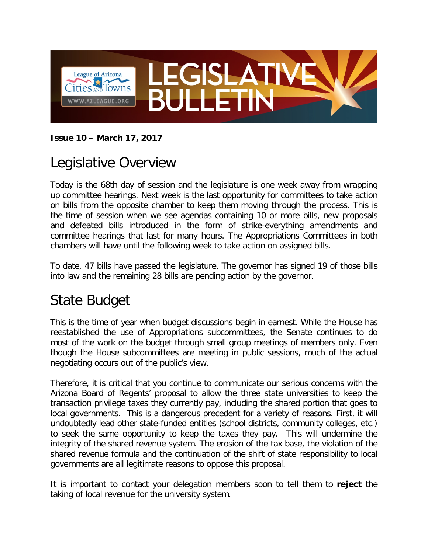

#### **Issue 10 – March 17, 2017**

## Legislative Overview

Today is the 68th day of session and the legislature is one week away from wrapping up committee hearings. Next week is the last opportunity for committees to take action on bills from the opposite chamber to keep them moving through the process. This is the time of session when we see agendas containing 10 or more bills, new proposals and defeated bills introduced in the form of strike-everything amendments and committee hearings that last for many hours. The Appropriations Committees in both chambers will have until the following week to take action on assigned bills.

To date, 47 bills have passed the legislature. The governor has signed 19 of those bills into law and the remaining 28 bills are pending action by the governor.

## State Budget

This is the time of year when budget discussions begin in earnest. While the House has reestablished the use of Appropriations subcommittees, the Senate continues to do most of the work on the budget through small group meetings of members only. Even though the House subcommittees are meeting in public sessions, much of the actual negotiating occurs out of the public's view.

Therefore, it is critical that you continue to communicate our serious concerns with the Arizona Board of Regents' proposal to allow the three state universities to keep the transaction privilege taxes they currently pay, including the shared portion that goes to local governments. This is a dangerous precedent for a variety of reasons. First, it will undoubtedly lead other state-funded entities (school districts, community colleges, etc.) to seek the same opportunity to keep the taxes they pay. This will undermine the integrity of the shared revenue system. The erosion of the tax base, the violation of the shared revenue formula and the continuation of the shift of state responsibility to local governments are all legitimate reasons to oppose this proposal.

It is important to contact your delegation members soon to tell them to **reject** the taking of local revenue for the university system.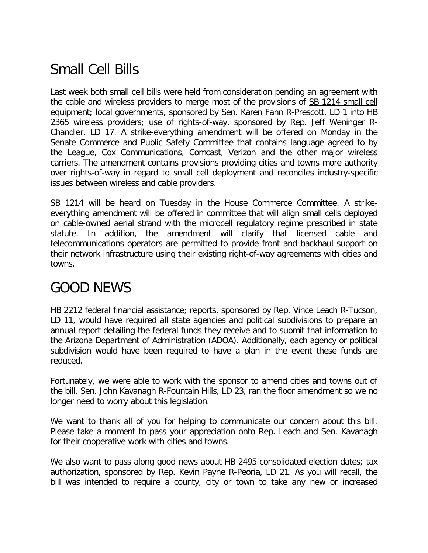# Small Cell Bills

Last week both small cell bills were held from consideration pending an agreement with the cable and wireless providers to merge most of the provisions of SB 1214 small cell equipment; local governments, sponsored by Sen. Karen Fann R-Prescott, LD 1 into HB 2365 wireless providers; use of rights-of-way, sponsored by Rep. Jeff Weninger R-Chandler, LD 17. A strike-everything amendment will be offered on Monday in the Senate Commerce and Public Safety Committee that contains language agreed to by the League, Cox Communications, Comcast, Verizon and the other major wireless carriers. The amendment contains provisions providing cities and towns more authority over rights-of-way in regard to small cell deployment and reconciles industry-specific issues between wireless and cable providers.

SB 1214 will be heard on Tuesday in the House Commerce Committee. A strikeeverything amendment will be offered in committee that will align small cells deployed on cable-owned aerial strand with the microcell regulatory regime prescribed in state statute. In addition, the amendment will clarify that licensed cable and telecommunications operators are permitted to provide front and backhaul support on their network infrastructure using their existing right-of-way agreements with cities and towns.

### GOOD NEWS

HB 2212 federal financial assistance; reports, sponsored by Rep. Vince Leach R-Tucson, LD 11, would have required all state agencies and political subdivisions to prepare an annual report detailing the federal funds they receive and to submit that information to the Arizona Department of Administration (ADOA). Additionally, each agency or political subdivision would have been required to have a plan in the event these funds are reduced.

Fortunately, we were able to work with the sponsor to amend cities and towns out of the bill. Sen. John Kavanagh R-Fountain Hills, LD 23, ran the floor amendment so we no longer need to worry about this legislation.

We want to thank all of you for helping to communicate our concern about this bill. Please take a moment to pass your appreciation onto Rep. Leach and Sen. Kavanagh for their cooperative work with cities and towns.

We also want to pass along good news about HB 2495 consolidated election dates; tax authorization, sponsored by Rep. Kevin Payne R-Peoria, LD 21. As you will recall, the bill was intended to require a county, city or town to take any new or increased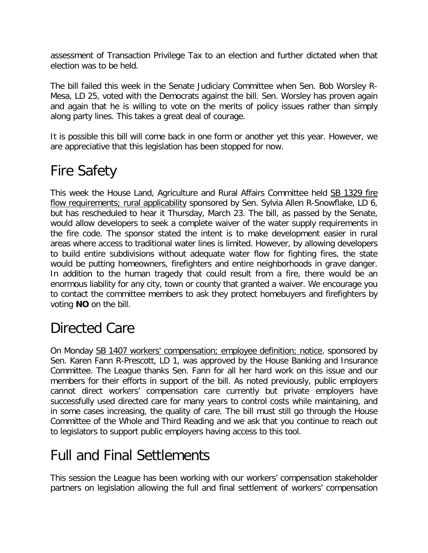assessment of Transaction Privilege Tax to an election and further dictated when that election was to be held.

The bill failed this week in the Senate Judiciary Committee when Sen. Bob Worsley R-Mesa, LD 25, voted with the Democrats against the bill. Sen. Worsley has proven again and again that he is willing to vote on the merits of policy issues rather than simply along party lines. This takes a great deal of courage.

It is possible this bill will come back in one form or another yet this year. However, we are appreciative that this legislation has been stopped for now.

# Fire Safety

This week the House Land, Agriculture and Rural Affairs Committee held SB 1329 fire flow requirements; rural applicability sponsored by Sen. Sylvia Allen R-Snowflake, LD 6, but has rescheduled to hear it Thursday, March 23. The bill, as passed by the Senate, would allow developers to seek a complete waiver of the water supply requirements in the fire code. The sponsor stated the intent is to make development easier in rural areas where access to traditional water lines is limited. However, by allowing developers to build entire subdivisions without adequate water flow for fighting fires, the state would be putting homeowners, firefighters and entire neighborhoods in grave danger. In addition to the human tragedy that could result from a fire, there would be an enormous liability for any city, town or county that granted a waiver. We encourage you to contact the committee members to ask they protect homebuyers and firefighters by voting **NO** on the bill.

# Directed Care

On Monday SB 1407 workers' compensation; employee definition; notice, sponsored by Sen. Karen Fann R-Prescott, LD 1, was approved by the House Banking and Insurance Committee. The League thanks Sen. Fann for all her hard work on this issue and our members for their efforts in support of the bill. As noted previously, public employers cannot direct workers' compensation care currently but private employers have successfully used directed care for many years to control costs while maintaining, and in some cases increasing, the quality of care. The bill must still go through the House Committee of the Whole and Third Reading and we ask that you continue to reach out to legislators to support public employers having access to this tool.

## Full and Final Settlements

This session the League has been working with our workers' compensation stakeholder partners on legislation allowing the full and final settlement of workers' compensation